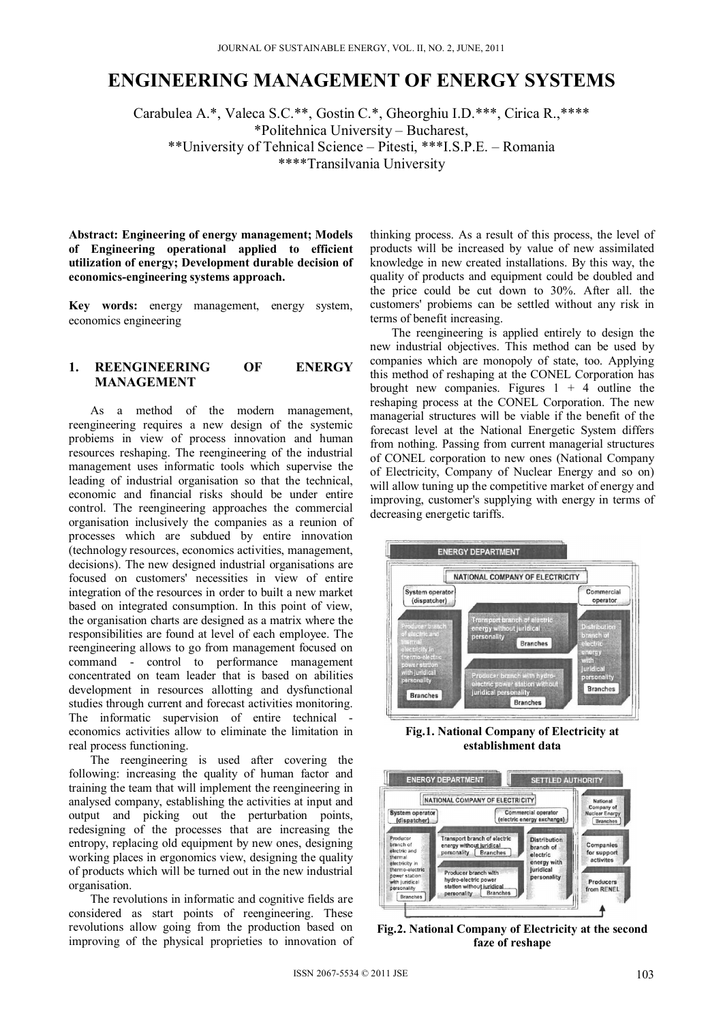# **ENGINEERING MANAGEMENT OF ENERGY SYSTEMS**

Carabulea A.\*, Valeca S.C.\*\*, Gostin C.\*, Gheorghiu I.D.\*\*\*, Cirica R.,\*\*\*\* \*Politehnica University – Bucharest, \*\*University of Tehnical Science – Pitesti, \*\*\*I.S.P.E. – Romania \*\*\*\*Transilvania University

**Abstract: Engineering of energy management; Models of Engineering operational applied to efficient utilization of energy; Development durable decision of economics-engineering systems approach.**

**Key words:** energy management, energy system, economics engineering

# **1. REENGINEERING OF ENERGY MANAGEMENT**

As a method of the modern management, reengineering requires a new design of the systemic probiems in view of process innovation and human resources reshaping. The reengineering of the industrial management uses informatic tools which supervise the leading of industrial organisation so that the technical, economic and financial risks should be under entire control. The reengineering approaches the commercial organisation inclusively the companies as a reunion of processes which are subdued by entire innovation (technology resources, economics activities, management, decisions). The new designed industrial organisations are focused on customers' necessities in view of entire integration of the resources in order to built a new market based on integrated consumption. In this point of view, the organisation charts are designed as a matrix where the responsibilities are found at level of each employee. The reengineering allows to go from management focused on command - control to performance management concentrated on team leader that is based on abilities development in resources allotting and dysfunctional studies through current and forecast activities monitoring. The informatic supervision of entire technical economics activities allow to eliminate the limitation in real process functioning.

The reengineering is used after covering the following: increasing the quality of human factor and training the team that will implement the reengineering in analysed company, establishing the activities at input and output and picking out the perturbation points, redesigning of the processes that are increasing the entropy, replacing old equipment by new ones, designing working places in ergonomics view, designing the quality of products which will be turned out in the new industrial organisation.

The revolutions in informatic and cognitive fields are considered as start points of reengineering. These revolutions allow going from the production based on improving of the physical proprieties to innovation of

thinking process. As a result of this process, the level of products will be increased by value of new assimilated knowledge in new created installations. By this way, the quality of products and equipment could be doubled and the price could be cut down to 30%. After all. the customers' probiems can be settled without any risk in terms of benefit increasing.

The reengineering is applied entirely to design the new industrial objectives. This method can be used by companies which are monopoly of state, too. Applying this method of reshaping at the CONEL Corporation has brought new companies. Figures  $1 + 4$  outline the reshaping process at the CONEL Corporation. The new managerial structures will be viable if the benefit of the forecast level at the National Energetic System differs from nothing. Passing from current managerial structures of CONEL corporation to new ones (National Company of Electricity, Company of Nuclear Energy and so on) will allow tuning up the competitive market of energy and improving, customer's supplying with energy in terms of decreasing energetic tariffs.



**Fig.1. National Company of Electricity at establishment data** 



**Fig.2. National Company of Electricity at the second faze of reshape**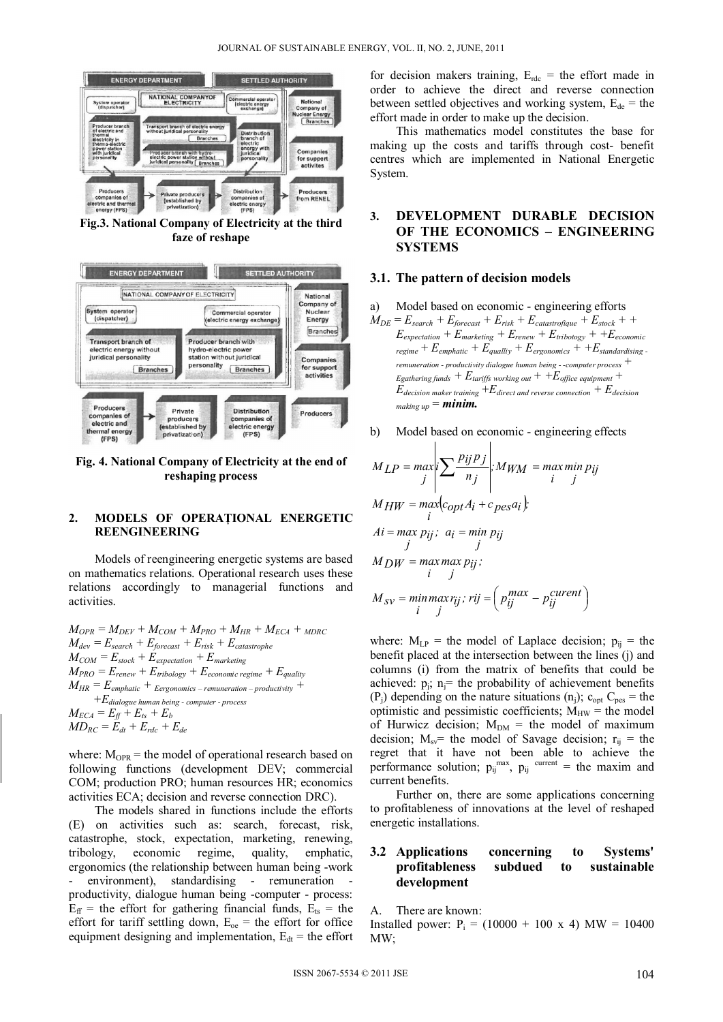

**Fig.3. National Company of Electricity at the third faze of reshape** 



**Fig. 4. National Company of Electricity at the end of reshaping process** 

### **2. MODELS OF OPERAŢIONAL ENERGETIC REENGINEERING**

Models of reengineering energetic systems are based on mathematics relations. Operational research uses these relations accordingly to managerial functions and activities.

 $M_{OPR} = M_{DEV} + M_{COM} + M_{PRO} + M_{HR} + M_{ECA} + M_{DRC}$  $M_{dev} = E_{search} + E_{forecast} + E_{risk} + E_{catastrophic}$  $M_{COM} = E_{stock} + E_{expectation} + E_{marketting}$  $M_{PRO} = E_{renew} + E_{tribology} + E_{economic\ regime} + E_{quality}$  $M_{HR} = E_{emphatic} + E_{ergonomics - remuneration - productivity} +$  *+Edialogue human being - computer - process*  $M_{ECA} = E_{ff} + E_{ts} + E_b$  $MD_{RC} = \mathbb{E}_{dt} + \mathbb{E}_{rdc} + \mathbb{E}_{de}$ 

where:  $M_{OPR}$  = the model of operational research based on following functions (development DEV; commercial COM; production PRO; human resources HR; economics activities ECA; decision and reverse connection DRC).

The models shared in functions include the efforts (E) on activities such as: search, forecast, risk, catastrophe, stock, expectation, marketing, renewing, tribology, economic regime, quality, emphatic, ergonomics (the relationship between human being -work - environment), standardising - remuneration productivity, dialogue human being -computer - process:  $E_{\text{ff}}$  = the effort for gathering financial funds,  $E_{\text{ts}}$  = the effort for tariff settling down,  $E_{oe}$  = the effort for office equipment designing and implementation,  $E_{dt}$  = the effort

for decision makers training,  $E_{\text{rdc}}$  = the effort made in order to achieve the direct and reverse connection between settled objectives and working system,  $E_{de}$  = the effort made in order to make up the decision.

This mathematics model constitutes the base for making up the costs and tariffs through cost- benefit centres which are implemented in National Energetic System.

# **3. DEVELOPMENT DURABLE DECISION OF THE ECONOMICS – ENGINEERING SYSTEMS**

#### **3.1. The pattern of decision models**

- a) Model based on economic engineering efforts
- $M_{DE}$  =  $E_{search}$  +  $E_{forecast}$  +  $E_{risk}$  +  $E_{catastrofigure}$  +  $E_{stock}$  + +  $E_{expectation} + E_{marketing} + E_{renew} + E_{tribotogy} + + E_{economic}$  $r_{regime} + E_{emphatic} + E_{qually} + E_{ergonomics} + + E_{standardising}$ *remuneration - productivity dialogue human being - -computer process +*   $E$ gathering funds  $+ E$ tariffs working out  $+ E$ office equipment  $+ E$  $E_{\text{decision maker training}} + E_{\text{direct and reverse connection}} + E_{\text{decision}}$  $_{makingup} = minim.$
- b) Model based on economic engineering effects

 $\blacksquare$ 

 $\mathbf{I}$ 

$$
M_{LP} = \max_{j} \left| \sum_{j} \frac{p_{ij} p_{j}}{n_{j}} \right|; M_{WM} = \max_{i} \min_{j} p_{ij}
$$
  
\n
$$
M_{HW} = \max_{i} \left| \sum_{j} \frac{p_{ij} p_{j}}{n_{j}} \right|;
$$
  
\n
$$
Ai = \max_{j} p_{ij}; \ a_{i} = \min_{j} p_{ij}
$$
  
\n
$$
M_{DW} = \max_{i} \max_{j} p_{ij};
$$
  
\n
$$
M_{DW} = \max_{i} \max_{j} p_{ij};
$$
  
\n
$$
M_{DW} = \max_{i} \max_{j} q_{ij}
$$

$$
M_{SV} = \min_{i} \max_{j} r_{ij}; \, r_{ij} = \left( p_{ij}^{max} - p_{ij}^{current} \right)
$$

where:  $M_{LP}$  = the model of Laplace decision;  $p_{ij}$  = the benefit placed at the intersection between the lines (j) and columns (i) from the matrix of benefits that could be achieved:  $p_i$ ;  $n_i$ = the probability of achievement benefits  $(P_i)$  depending on the nature situations  $(n_i)$ ;  $c_{opt}$   $C_{pes}$  = the optimistic and pessimistic coefficients;  $M_{HW}$  = the model of Hurwicz decision;  $M_{DM}$  = the model of maximum decision;  $M_{\rm sv}$ = the model of Savage decision;  $r_{\rm ii}$  = the regret that it have not been able to achieve the performance solution;  $p_{ij}^{max}$ ,  $p_{ij}^{current}$  = the maxim and current benefits.

Further on, there are some applications concerning to profitableness of innovations at the level of reshaped energetic installations.

## **3.2 Applications concerning to Systems' profitableness subdued to sustainable development**

A. There are known:

Installed power:  $P_i = (10000 + 100 \text{ x } 4) \text{ MW} = 10400$ MW;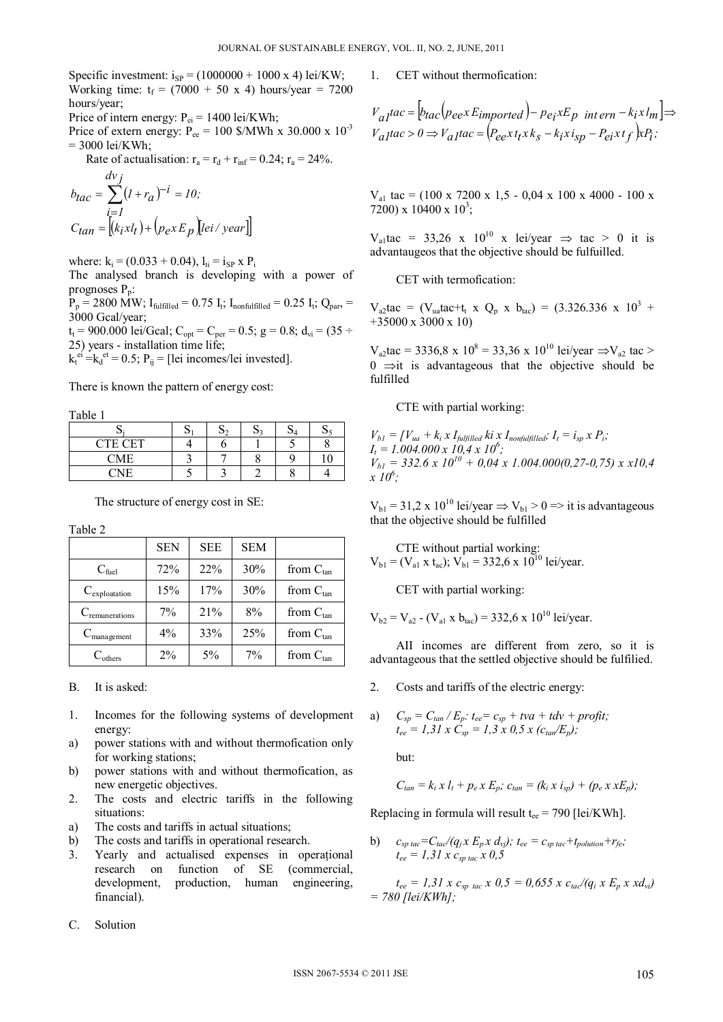Specific investment:  $i_{SP} = (1000000 + 1000 \times 4)$  lei/KW; Working time:  $t_f = (7000 + 50 \text{ x } 4)$  hours/year = 7200 hours/year;

Price of intern energy:  $P_{ei} = 1400 \text{ lei/KWh}$ ;

Price of extern energy:  $P_{ee} = 100$  \$/MWh x 30.000 x  $10^{-3}$  $= 3000$  lei/KWh;

Rate of actualisation:  $r_a = r_d + r_{inf} = 0.24$ ;  $r_a = 24\%$ .  $\overline{d}$ 

$$
b_{tac} = \sum_{\substack{i=1 \ i \neq l}}^{a \vee f} (l + r_a)^{-i} = 10;
$$
  
\n
$$
C_{tan} = \left[ (k_i x l_t) + (p_e x E_p) [lei / year] \right]
$$

where:  $k_i = (0.033 + 0.04)$ ,  $l_{ti} = i_{SP} x P_i$ 

The analysed branch is developing with a power of prognoses  $P_n$ :

 $P_p = 2800 \text{ MW}$ ;  $I_{\text{fulfilled}} = 0.75 I_t$ ;  $I_{\text{nonfulfilled}} = 0.25 I_t$ ;  $Q_{\text{par}} =$ 3000 Gcal/year;

 $t_t = 900.000$  lei/Gcal; C<sub>opt</sub> = C<sub>per</sub> = 0.5; g = 0.8; d<sub>vi</sub> = (35 ÷ 25) years - installation time life;

 $k_t^{ei} = k_d^{et} = 0.5$ ;  $P_{ij} =$  [lei incomes/lei invested].

There is known the pattern of energy cost:

Table 1

|                | $\mathbf{v}_4$ |  |  |
|----------------|----------------|--|--|
| <b>CTE CET</b> |                |  |  |
| <b>CME</b>     |                |  |  |
| $\cap$ nte     |                |  |  |

The structure of energy cost in SE:

Table 2

|                            | <b>SEN</b> | <b>SEE</b> | <b>SEM</b> |                |
|----------------------------|------------|------------|------------|----------------|
| $C_{\text{fuel}}$          | 72%        | 22%        | 30%        | from $C_{tan}$ |
| $C_{exploitation}$         | 15%        | 17%        | 30%        | from $C_{tan}$ |
| $C_{\text{remunerations}}$ | 7%         | 21%        | 8%         | from $C_{tan}$ |
| $C_{\text{manager}}$       | 4%         | 33%        | 25%        | from $C_{tan}$ |
|                            | 2%         | 5%         | 7%         | from $C_{tan}$ |

B. It is asked:

- 1. Incomes for the following systems of development energy:
- a) power stations with and without thermofication only for working stations;
- b) power stations with and without thermofication, as new energetic objectives.
- 2. The costs and electric tariffs in the following situations:
- a) The costs and tariffs in actual situations;
- b) The costs and tariffs in operational research.
- 3. Yearly and actualised expenses in operaţional research on function of SE (commercial, development, production, human engineering, financial).
- C. Solution

1. CET without thermofication:

$$
V_{aI}tac = [b_{tac}(peex \, E_{imported}) - pe_{i}xE_{p} \text{ int }ern - k_{i}xl_{m}] \Rightarrow
$$
  

$$
V_{aI}tac > 0 \Rightarrow V_{aI}tac = (Pe_{e}xt_{i}xk_{s} - k_{i}xi_{sp} - Pe_{i}xt_{f})xP_{i};
$$

 $V_{a1}$  tac = (100 x 7200 x 1,5 - 0,04 x 100 x 4000 - 100 x 7200) x 10400 x  $10^3$ ;

 $V_{a1}$ tac = 33,26 x 10<sup>10</sup> x lei/year  $\Rightarrow$  tac > 0 it is advantaugeos that the objective should be fulfuilled.

CET with termofication:

 $V_{a2}$ tac = (V<sub>ua</sub>tac+t<sub>t</sub> x Q<sub>p</sub> x b<sub>tac</sub>) = (3.326.336 x 10<sup>3</sup> + +35000 x 3000 x 10)

 $V_{a2}$ tac = 3336,8 x 10<sup>8</sup> = 33,36 x 10<sup>10</sup> lei/year  $\Rightarrow$  $V_{a2}$  tac >  $0 \implies$  it is advantageous that the objective should be fulfilled

CTE with partial working:

 $V_{bl} = [V_{ua} + k_i x I_{fulfilled} k_i x I_{nonfulfilled}; I_t = i_{sp} x P_i;$  $I_t = 1.004.000 \times 10.4 \times 10^6$ ;  $V_{bl} = 332.6 \times 10^{10} + 0.04 \times 1.004.000(0.27-0.75) \times x10.4$ *x 106 ;* 

 $V_{b1} = 31,2 \times 10^{10}$  lei/year  $\Rightarrow V_{b1} > 0 \Rightarrow$  it is advantageous that the objective should be fulfilled

CTE without partial working:  $V_{b1} = (V_{a1} \times t_{ac})$ ;  $V_{b1} = 332.6 \times 10^{10}$  lei/year.

CET with partial working:

 $V_{b2} = V_{a2} - (V_{a1} \times b_{fac}) = 332.6 \times 10^{10}$  lei/year.

AII incomes are different from zero, so it is advantageous that the settled objective should be fulfilied.

2. Costs and tariffs of the electric energy:

a) 
$$
C_{sp} = C_{tan}/E_p
$$
:  $t_{ee} = c_{sp} + tva + tdv + profit;$   
\n $t_{ee} = 1,31 \times C_{sp} = 1,3 \times 0,5 \times (c_{tan}/E_p);$ 

but:

$$
C_{tan}=k_i\,x\,l_t+p_e\,x\,E_p;\,c_{tan}=(k_i\,x\,i_{sp})+(p_e\,x\,xE_p);
$$

Replacing in formula will result  $t_{ee}$  = 790 [lei/KWh].

b)  $c_{sp\,tac} = C_{tac} / (q_j x E_p x d_{vj})$ ;  $t_{ee} = c_{sp\,tac} + t_{polution} + r_{fe}$ ;  $t_{ee} = 1.31 x c_{sp \, tac} x 0.5$ 

 $t_{ee} = 1.31 \times c_{sp \text{ tac}} \times 0.5 = 0.655 \times c_{ta}/(q_i \times E_p \times x d_{vi})$ *= 780 [lei/KWh];*